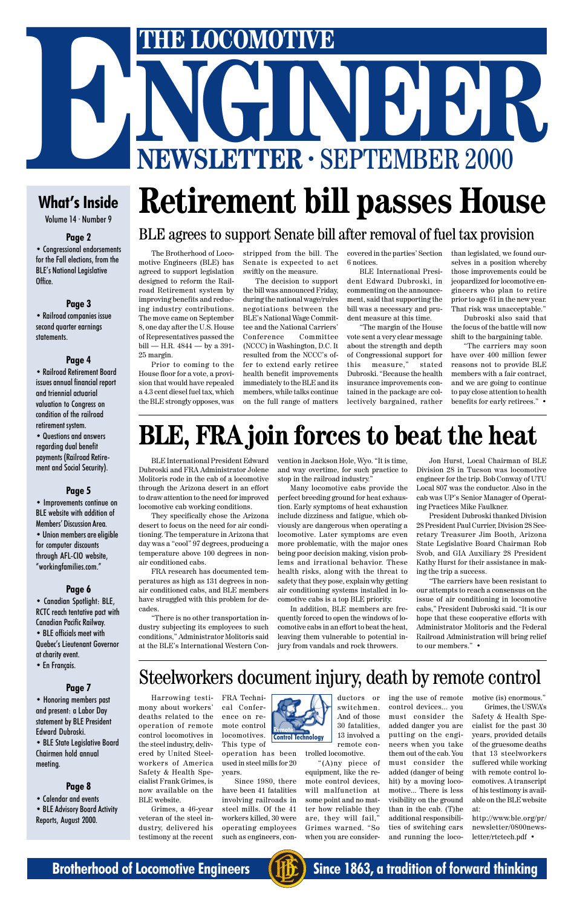

# THE LOCOMOTIVE<br>
NEWSLETTER · SEPTEMBER 2000 **THE LOCOMOTIVE**<br> **NEWSLETTER · SEPTEMBER 2000**

### **What's Inside**

Volume 14 · Number 9

#### **Page 2**

• Congressional endorsements for the Fall elections, from the BLE's National Legislative Office.

#### **Page 3**

• Railroad companies issue second quarter earnings statements.

#### **Page 4**

• Railroad Retirement Board issues annual financial report and triennial actuarial valuation to Congress on condition of the railroad retirement system.

• Questions and answers regarding dual benefit payments (Railroad Retirement and Social Security).

#### **Page 5**

• Improvements continue on BLE website with addition of Members' Discussion Area. • Union members are eligible for computer discounts through AFL-CIO website, "workingfamilies.com."

#### **Page 6**

• Canadian Spotlight: BLE, RCTC reach tentative pact with Canadian Pacific Railway. • BLE officials meet with

Quebec's Lieutenant Governor at charity event.

#### • En Français.

#### **Page 7**

• Honoring members past and present: a Labor Day statement by BLE President Edward Dubroski.

• BLE State Legislative Board Chairmen hold annual meeting.

#### **Page 8**

• Calendar and events • BLE Advisory Board Activity Reports, August 2000.

# **BLE, FRA join forces to beat the heat**

BLE website.

the steel industry, delivered by United Steelworkers of America Safety & Health Spe-This type of operation has been used in steel mills for 20 years.

testimony at the recent

cialist Frank Grimes, is now available on the Grimes, a 46-year veteran of the steel industry, delivered his Since 1980, there have been 41 fatalities involving railroads in steel mills. Of the 41 workers killed, 30 were operating employees

#### Harrowing testimony about workers' deaths related to the operation of remote control locomotives in FRA Technical Conference on remote control locomotives. Steelworkers document injury, death by remote control **Remote**

such as engineers, con-

trolled locomotive.

"(A)ny piece of equipment, like the remote control devices, will malfunction at some point and no matter how reliable they are, they will fail," Grimes warned. "So when you are consider-



BLE International President Edward Dubroski and FRA Administrator Jolene Molitoris rode in the cab of a locomotive through the Arizona desert in an effort to draw attention to the need for improved locomotive cab working conditions.

They specifically chose the Arizona desert to focus on the need for air conditioning. The temperature in Arizona that day was a "cool" 97 degrees, producing a temperature above 100 degrees in nonair conditioned cabs.

FRA research has documented temperatures as high as 131 degrees in nonair conditioned cabs, and BLE members have struggled with this problem for decades.

"There is no other transportation industry subjecting its employees to such conditions," Administrator Molitoris said at the BLE's International Western Convention in Jackson Hole, Wyo. "It is time, and way overtime, for such practice to stop in the railroad industry."

"The carriers may soon have over 400 million fewer reasons not to provide BLE members with a fair contract, and we are going to continue to pay close attention to health benefits for early retirees." •

Many locomotive cabs provide the perfect breeding ground for heat exhaustion. Early symptoms of heat exhaustion include dizziness and fatigue, which obviously are dangerous when operating a locomotive. Later symptoms are even more problematic, with the major ones being poor decision making, vision problems and irrational behavior. These health risks, along with the threat to safety that they pose, explain why getting air conditioning systems installed in locomotive cabs is a top BLE priority.

In addition, BLE members are frequently forced to open the windows of locomotive cabs in an effort to beat the heat, leaving them vulnerable to potential injury from vandals and rock throwers.

Jon Hurst, Local Chairman of BLE Division 28 in Tucson was locomotive engineer for the trip. Bob Conway of UTU Local 807 was the conductor. Also in the cab was UP's Senior Manager of Operating Practices Mike Faulkner.

President Dubroski thanked Division 28 President Paul Currier, Division 28 Secretary Treasurer Jim Booth, Arizona State Legislative Board Chairman Rob Svob, and GIA Auxiliary 28 President Kathy Hurst for their assistance in making the trip a success.

ductors or switchmen. And of those 30 fatalities, 13 involved a remote coning the use of remote control devices... you must consider the added danger you are putting on the engi-

"The carriers have been resistant to our attempts to reach a consensus on the issue of air conditioning in locomotive cabs," President Dubroski said. "It is our hope that these cooperative efforts with Administrator Molitoris and the Federal Railroad Administration will bring relief to our members." •

The Brotherhood of Locomotive Engineers (BLE) has agreed to support legislation designed to reform the Railroad Retirement system by improving benefits and reducing industry contributions. The move came on September 8, one day after the U.S. House of Representatives passed the bill — H.R. 4844 — by a 391- 25 margin.

Prior to coming to the House floor for a vote, a provision that would have repealed a 4.3 cent diesel fuel tax, which the BLE strongly opposes, was stripped from the bill. The Senate is expected to act swiftly on the measure.

The decision to support the bill was announced Friday, during the national wage/rules negotiations between the BLE's National Wage Committee and the National Carriers' Conference Committee (NCCC) in Washington, D.C. It resulted from the NCCC's offer to extend early retiree health benefit improvements immediately to the BLE and its members, while talks continue on the full range of matters

covered in the parties' Section 6 notices.

BLE International President Edward Dubroski, in commenting on the announcement, said that supporting the bill was a necessary and prudent measure at this time.

"The margin of the House vote sent a very clear message about the strength and depth of Congressional support for this measure," stated Dubroski. "Because the health insurance improvements contained in the package are collectively bargained, rather

# **Retirement bill passes House**

### BLE agrees to support Senate bill after removal of fuel tax provision

than legislated, we found ourselves in a position whereby those improvements could be jeopardized for locomotive engineers who plan to retire prior to age 61 in the new year. That risk was unacceptable."

Dubroski also said that the focus of the battle will now shift to the bargaining table.

neers when you take them out of the cab. You must consider the added (danger of being hit) by a moving locomotive... There is less visibility on the ground than in the cab. (T)he additional responsibilities of switching cars and running the locomotive (is) enormous."

Grimes, the USWA's Safety & Health Specialist for the past 30 years, provided details of the gruesome deaths that 13 steelworkers suffered while working with remote control locomotives. A transcript of his testimony is available on the BLE website at:

http://www.ble.org/pr/ newsletter/0800newsletter/rtctech.pdf •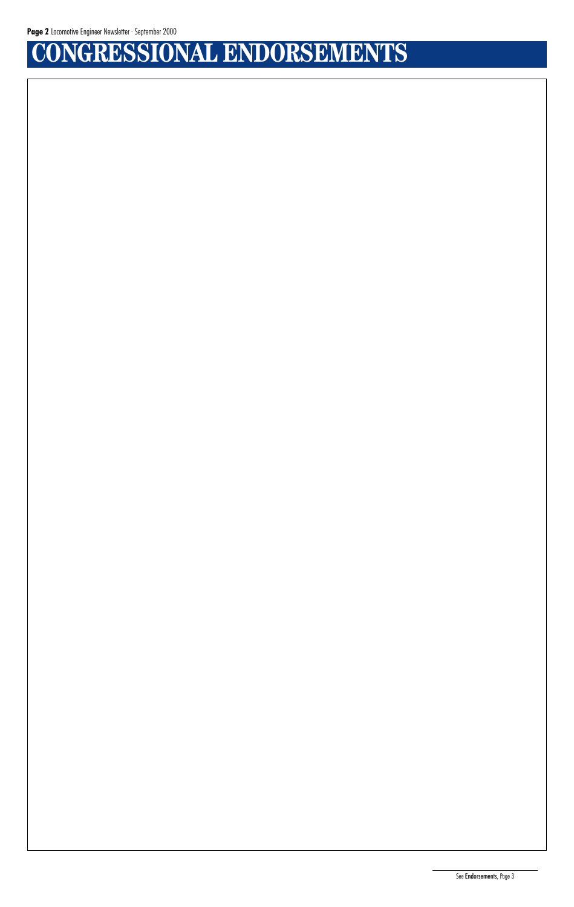# **CONGRESSIONAL ENDORSEMENTS**

See Endorsements, Page 3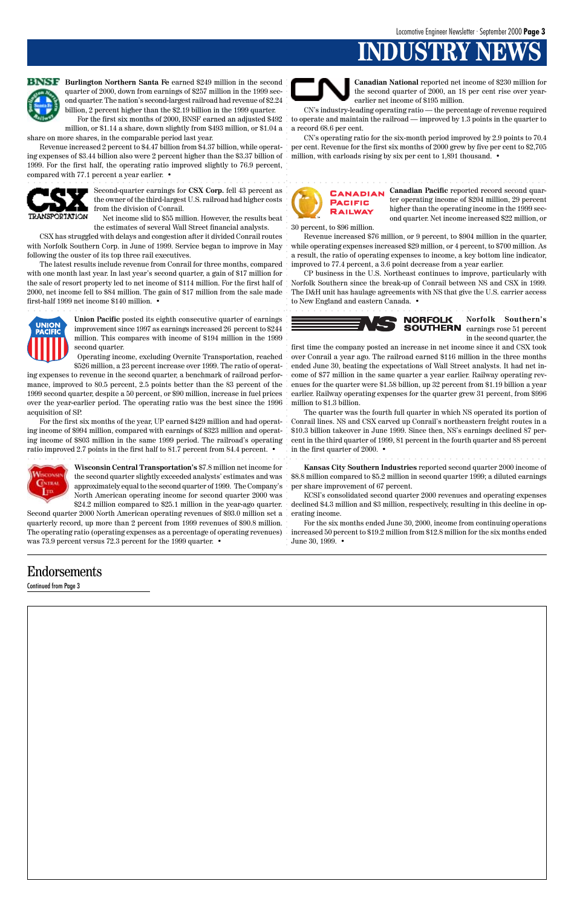# **INDUSTRY**



### Endorsements

Continued from Page 3



**BNSF** Burlington Northern Santa Fe earned \$249 million in the second quarter of 2000, down from earnings of \$257 million in the 1999 second quarter. The nation's second-largest railroad had revenue of \$2.24 billion, 2 percent higher than the \$2.19 billion in the 1999 quarter.

For the first six months of 2000, BNSF earned an adjusted \$492 million, or \$1.14 a share, down slightly from \$493 million, or \$1.04 a share on more shares, in the comparable period last year.

Revenue increased 2 percent to \$4.47 billion from \$4.37 billion, while operating expenses of \$3.44 billion also were 2 percent higher than the \$3.37 billion of 1999. For the first half, the operating ratio improved slightly to 76.9 percent, compared with 77.1 percent a year earlier. •



**Canadian National** reported net income of \$230 million for the second quarter of 2000, an 18 per cent rise over yearearlier net income of \$195 million.

CN's industry-leading operating ratio — the percentage of revenue required to operate and maintain the railroad — improved by 1.3 points in the quarter to a record 68.6 per cent.

CN's operating ratio for the six-month period improved by 2.9 points to 70.4 per cent. Revenue for the first six months of 2000 grew by five per cent to \$2,705 million, with carloads rising by six per cent to 1,891 thousand. •

> **Canadian Pacific** reported record second quarter operating income of \$204 million, 29 percent higher than the operating income in the 1999 second quarter. Net income increased \$22 million, or

first time the company posted an increase in net income since it and CSX took over Conrail a year ago. The railroad earned \$116 million in the three months ended June 30, beating the expectations of Wall Street analysts. It had net income of \$77 million in the same quarter a year earlier. Railway operating revenues for the quarter were \$1.58 billion, up 32 percent from \$1.19 billion a year earlier. Railway operating expenses for the quarter grew 31 percent, from \$996 million to \$1.3 billion. EXPL EXPL ENFERT SUNTER TRANSFERT CONTROL TRANSFERT CONTROL TRANSFERT CONTROL TRANSFERT CONTROL TRANSFERT CONTROL TRANSFERT CONTROL TRANSFERT CONTROL TRANSFERT CONTROL TRANSFERT CONTROL TRANSFERT CONTROL TRANSFERT CONTROL

30 percent, to \$96 million.

Revenue increased \$76 million, or 9 percent, to \$904 million in the quarter, while operating expenses increased \$29 million, or 4 percent, to \$700 million. As a result, the ratio of operating expenses to income, a key bottom line indicator, improved to 77.4 percent, a 3.6 point decrease from a year earlier.

CP business in the U.S. Northeast continues to improve, particularly with Norfolk Southern since the break-up of Conrail between NS and CSX in 1999. The D&H unit has haulage agreements with NS that give the U.S. carrier access to New England and eastern Canada. •



Second-quarter earnings for **CSX Corp.** fell 43 percent as the owner of the third-largest U.S. railroad had higher costs from the division of Conrail.

For the first six months of the year, UP earned \$429 million and had operating income of \$994 million, compared with earnings of \$323 million and operating income of \$803 million in the same 1999 period. The railroad's operating ratio improved 2.7 points in the first half to 81.7 percent from 84.4 percent. •



Net income slid to \$55 million. However, the results beat the estimates of several Wall Street financial analysts.

CSX has struggled with delays and congestion after it divided Conrail routes with Norfolk Southern Corp. in June of 1999. Service began to improve in May following the ouster of its top three rail executives.

The latest results include revenue from Conrail for three months, compared with one month last year. In last year's second quarter, a gain of \$17 million for the sale of resort property led to net income of \$114 million. For the first half of 2000, net income fell to \$84 million. The gain of \$17 million from the sale made first-half 1999 net income \$140 million. •



**Norfolk Southern's** earnings rose 51 percent in the second quarter, the

The quarter was the fourth full quarter in which NS operated its portion of Conrail lines. NS and CSX carved up Conrail's northeastern freight routes in a \$10.3 billion takeover in June 1999. Since then, NS's earnings declined 87 percent in the third quarter of 1999, 81 percent in the fourth quarter and 88 percent in the first quarter of 2000. •

**Union Pacific** posted its eighth consecutive quarter of earnings improvement since 1997 as earnings increased 26 percent to \$244 million. This compares with income of \$194 million in the 1999 second quarter.

Operating income, excluding Overnite Transportation, reached \$526 million, a 23 percent increase over 1999. The ratio of operat-

ing expenses to revenue in the second quarter, a benchmark of railroad performance, improved to 80.5 percent, 2.5 points better than the 83 percent of the 1999 second quarter, despite a 50 percent, or \$90 million, increase in fuel prices over the year-earlier period. The operating ratio was the best since the 1996 acquisition of SP.



**Kansas City Southern Industries** reported second quarter 2000 income of \$8.8 million compared to \$5.2 million in second quarter 1999; a diluted earnings per share improvement of 67 percent.

KCSI's consolidated second quarter 2000 revenues and operating expenses declined \$4.3 million and \$3 million, respectively, resulting in this decline in operating income.

For the six months ended June 30, 2000, income from continuing operations increased 50 percent to \$19.2 million from \$12.8 million for the six months ended June 30, 1999. •

**Wisconsin Central Transportation's** \$7.8 million net income for the second quarter slightly exceeded analysts' estimates and was approximately equal to the second quarter of 1999. The Company's North American operating income for second quarter 2000 was \$24.2 million compared to \$25.1 million in the year-ago quarter.

Second quarter 2000 North American operating revenues of \$93.0 million set a quarterly record, up more than 2 percent from 1999 revenues of \$90.8 million. The operating ratio (operating expenses as a percentage of operating revenues) was 73.9 percent versus 72.3 percent for the 1999 quarter. •



aaaaaaaaaaaaaaaaaaaaaaaaaaaaaaaaaaaaaaaaaaaaaaaaaaaaaaaaaaaaaaaaa aaaaaaaaaaaaaaaaaaaaaaa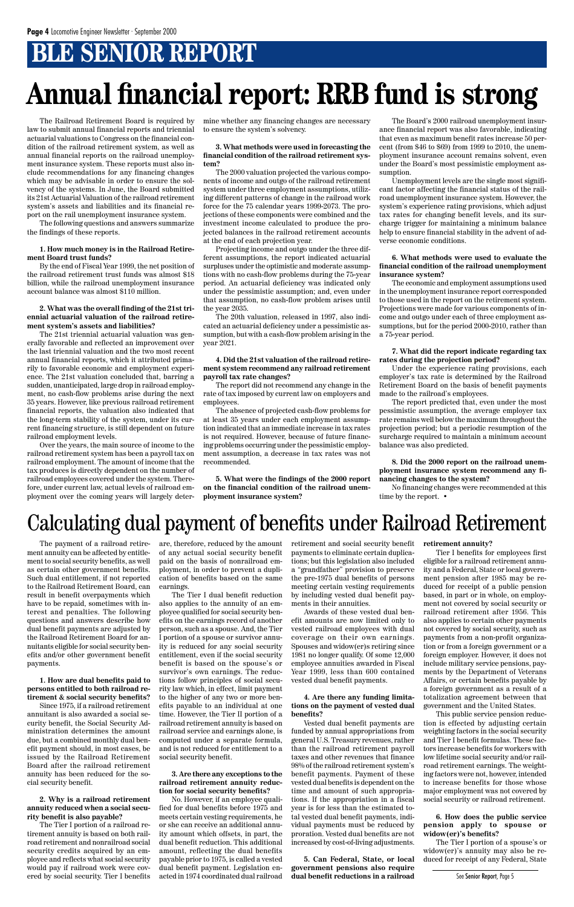# **BLE SENIOR REPORT**

law to submit annual financial reports and triennial actuarial valuations to Congress on the financial condition of the railroad retirement system, as well as annual financial reports on the railroad unemployment insurance system. These reports must also include recommendations for any financing changes which may be advisable in order to ensure the solvency of the systems. In June, the Board submitted its 21st Actuarial Valuation of the railroad retirement system's assets and liabilities and its financial report on the rail unemployment insurance system.

The following questions and answers summarize the findings of these reports.

#### **1. How much money is in the Railroad Retirement Board trust funds?**

By the end of Fiscal Year 1999, the net position of the railroad retirement trust funds was almost \$18 billion, while the railroad unemployment insurance account balance was almost \$110 million.

#### **2. What was the overall finding of the 21st triennial actuarial valuation of the railroad retirement system's assets and liabilities?**

The Railroad Retirement Board is required by mine whether any financing changes are necessary to ensure the system's solvency.

The 21st triennial actuarial valuation was generally favorable and reflected an improvement over the last triennial valuation and the two most recent annual financial reports, which it attributed primarily to favorable economic and employment experience. The 21st valuation concluded that, barring a sudden, unanticipated, large drop in railroad employment, no cash-flow problems arise during the next 35 years. However, like previous railroad retirement financial reports, the valuation also indicated that the long-term stability of the system, under its current financing structure, is still dependent on future railroad employment levels.

Over the years, the main source of income to the railroad retirement system has been a payroll tax on railroad employment. The amount of income that the tax produces is directly dependent on the number of railroad employees covered under the system. Therefore, under current law, actual levels of railroad employment over the coming years will largely deter-

#### **3. What methods were used in forecasting the financial condition of the railroad retirement system?**

The 2000 valuation projected the various components of income and outgo of the railroad retirement system under three employment assumptions, utilizing different patterns of change in the railroad work force for the 75 calendar years 1999-2073. The projections of these components were combined and the investment income calculated to produce the projected balances in the railroad retirement accounts at the end of each projection year.

Projecting income and outgo under the three different assumptions, the report indicated actuarial surpluses under the optimistic and moderate assumptions with no cash-flow problems during the 75-year period. An actuarial deficiency was indicated only under the pessimistic assumption; and, even under that assumption, no cash-flow problem arises until the year 2035.

The 20th valuation, released in 1997, also indicated an actuarial deficiency under a pessimistic assumption, but with a cash-flow problem arising in the year 2021.

#### **4. Did the 21st valuation of the railroad retirement system recommend any railroad retirement payroll tax rate changes?**

The report did not recommend any change in the rate of tax imposed by current law on employers and employees.

The absence of projected cash-flow problems for at least 35 years under each employment assumption indicated that an immediate increase in tax rates is not required. However, because of future financing problems occurring under the pessimistic employment assumption, a decrease in tax rates was not recommended.

**5. What were the findings of the 2000 report on the financial condition of the railroad unemployment insurance system?**

The Board's 2000 railroad unemployment insurance financial report was also favorable, indicating that even as maximum benefit rates increase 50 percent (from \$46 to \$69) from 1999 to 2010, the unemployment insurance account remains solvent, even under the Board's most pessimistic employment assumption.

Unemployment levels are the single most significant factor affecting the financial status of the railroad unemployment insurance system. However, the system's experience rating provisions, which adjust tax rates for changing benefit levels, and its surcharge trigger for maintaining a minimum balance help to ensure financial stability in the advent of adverse economic conditions.

#### **6. What methods were used to evaluate the financial condition of the railroad unemployment insurance system?**

The economic and employment assumptions used in the unemployment insurance report corresponded to those used in the report on the retirement system. Projections were made for various components of income and outgo under each of three employment assumptions, but for the period 2000-2010, rather than a 75-year period.

#### **7. What did the report indicate regarding tax rates during the projection period?**

Under the experience rating provisions, each employer's tax rate is determined by the Railroad Retirement Board on the basis of benefit payments made to the railroad's employees.

The report predicted that, even under the most pessimistic assumption, the average employer tax rate remains well below the maximum throughout the projection period; but a periodic resumption of the surcharge required to maintain a minimum account balance was also predicted.

**8. Did the 2000 report on the railroad unemployment insurance system recommend any financing changes to the system?**

No financing changes were recommended at this time by the report. •

# **Annual financial report: RRB fund is strong**

The payment of a railroad retirement annuity can be affected by entitlement to social security benefits, as well as certain other government benefits. Such dual entitlement, if not reported to the Railroad Retirement Board, can result in benefit overpayments which have to be repaid, sometimes with interest and penalties. The following questions and answers describe how dual benefit payments are adjusted by the Railroad Retirement Board for annuitants eligible for social security benefits and/or other government benefit payments.

**1. How are dual benefits paid to persons entitled to both railroad retirement & social security benefits?**

Since 1975, if a railroad retirement annuitant is also awarded a social security benefit, the Social Security Administration determines the amount due, but a combined monthly dual benefit payment should, in most cases, be issued by the Railroad Retirement Board after the railroad retirement annuity has been reduced for the social security benefit.

#### **2. Why is a railroad retirement annuity reduced when a social security benefit is also payable?**

The Tier I portion of a railroad retirement annuity is based on both railroad retirement and nonrailroad social security credits acquired by an employee and reflects what social security would pay if railroad work were covered by social security. Tier I benefits are, therefore, reduced by the amount of any actual social security benefit paid on the basis of nonrailroad employment, in order to prevent a duplication of benefits based on the same earnings.

The Tier I dual benefit reduction also applies to the annuity of an employee qualified for social security benefits on the earnings record of another person, such as a spouse. And, the Tier I portion of a spouse or survivor annuity is reduced for any social security entitlement, even if the social security benefit is based on the spouse's or survivor's own earnings. The reductions follow principles of social security law which, in effect, limit payment to the higher of any two or more benefits payable to an individual at one time. However, the Tier II portion of a railroad retirement annuity is based on railroad service and earnings alone, is computed under a separate formula, and is not reduced for entitlement to a social security benefit.

#### **3. Are there any exceptions to the railroad retirement annuity reduction for social security benefits?**

No. However, if an employee qualified for dual benefits before 1975 and meets certain vesting requirements, he or she can receive an additional annuity amount which offsets, in part, the dual benefit reduction. This additional amount, reflecting the dual benefits payable prior to 1975, is called a vested dual benefit payment. Legislation enacted in 1974 coordinated dual railroad retirement and social security benefit payments to eliminate certain duplications; but this legislation also included a "grandfather" provision to preserve the pre-1975 dual benefits of persons meeting certain vesting requirements by including vested dual benefit payments in their annuities.

Awards of these vested dual benefit amounts are now limited only to vested railroad employees with dual coverage on their own earnings. Spouses and widow(er)s retiring since 1981 no longer qualify. Of some 12,000 employee annuities awarded in Fiscal

Year 1999, less than 600 contained vested dual benefit payments.

#### **4. Are there any funding limitations on the payment of vested dual benefits?**

Vested dual benefit payments are funded by annual appropriations from general U.S. Treasury revenues, rather than the railroad retirement payroll taxes and other revenues that finance 98% of the railroad retirement system's benefit payments. Payment of these vested dual benefits is dependent on the time and amount of such appropriations. If the appropriation in a fiscal year is for less than the estimated total vested dual benefit payments, individual payments must be reduced by proration. Vested dual benefits are not increased by cost-of-living adjustments.

**5. Can Federal, State, or local government pensions also require dual benefit reductions in a railroad**

#### **retirement annuity?**

Tier I benefits for employees first eligible for a railroad retirement annuity and a Federal, State or local government pension after 1985 may be reduced for receipt of a public pension based, in part or in whole, on employment not covered by social security or railroad retirement after 1956. This also applies to certain other payments not covered by social security, such as payments from a non-profit organization or from a foreign government or a foreign employer. However, it does not include military service pensions, payments by the Department of Veterans Affairs, or certain benefits payable by a foreign government as a result of a totalization agreement between that government and the United States. This public service pension reduction is effected by adjusting certain weighting factors in the social security and Tier I benefit formulas. These factors increase benefits for workers with low lifetime social security and/or railroad retirement earnings. The weighting factors were not, however, intended to increase benefits for those whose major employment was not covered by social security or railroad retirement.

**6. How does the public service pension apply to spouse or widow(er)'s benefits?**

The Tier I portion of a spouse's or widow(er)'s annuity may also be reduced for receipt of any Federal, State

# Calculating dual payment of benefits under Railroad Retirement

See Senior Report, Page 5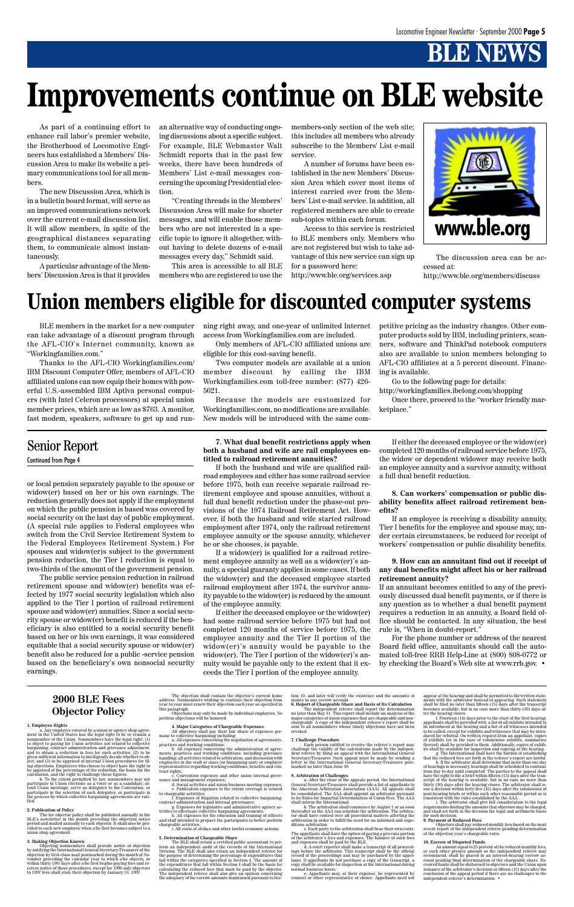# **B** NEWS

As part of a continuing effort to enhance rail labor's premier website, the Brotherhood of Locomotive Engineers has established a Members' Discussion Area to make its website a primary communications tool for all members.

The new Discussion Area, which is in a bulletin board format, will serve as an improved communications network over the current e-mail discussion list. It will allow members, in spite of the geographical distances separating them, to communicate almost instantaneously.

A particular advantage of the Members' Discussion Area is that it provides an alternative way of conducting ongoing discussions about a specific subject. For example, BLE Webmaster Walt Schmidt reports that in the past few weeks, there have been hundreds of Members' List e-mail messages concerning the upcoming Presidential election.

"Creating threads in the Members' Discussion Area will make for shorter messages, and will enable those members who are not interested in a specific topic to ignore it altogether, without having to delete dozens of e-mail messages every day," Schmidt said.

This area is accessible to all BLE members who are registered to use the members-only section of the web site; this includes all members who already subscribe to the Members' List e-mail service.

A number of forums have been established in the new Members' Discussion Area which cover most items of interest carried over from the Members' List e-mail service. In addition, all registered members are able to create sub-topics within each forum.

Access to this service is restricted to BLE members only. Members who are not registered but wish to take advantage of this new service can sign up for a password here:

http://www.ble.org/services.asp

BLE members in the market for a new computer can take advantage of a discount program through the AFL-CIO's Internet community, known as "Workingfamilies.com."

Thanks to the AFL-CIO Workingfamilies.com/ IBM Discount Computer Offer, members of AFL-CIO affiliated unions can now equip their homes with powerful U.S.-assembled IBM Aptiva personal computers (with Intel Celeron processors) at special union member prices, which are as low as \$763. A monitor, fast modem, speakers, software to get up and run-

The fee objector policy shall be published annually in the BLE's newsletter in the month preceding the objection notice<br>period and mailed annually to each objector it shall also be pro-<br>period and mailed annually to each o union shop agreement.

3. Making Objection Known<br>
(bijection Conventions shall provide notice of objection<br>
by notifying the International General Secretary-Treasurer of the<br>
objection by first-class mail postmarked during the month of No-<br>
ove

ning right away, and one-year of unlimited Internet access from Workingfamilies.com are included.

Only members of AFL-CIO affiliated unions are eligible for this cost-saving benefit.

Two computer models are available at a union member discount by calling the IBM Workingfamilies.com toll-free number: (877) 426- 5621.

Because the models are customized for Workingfamilies.com, no modifications are available. New models will be introduced with the same competitive pricing as the industry changes. Other computer products sold by IBM, including printers, scanners, software and ThinkPad notebook computers also are available to union members belonging to AFL-CIO affiliates at a 5 percent discount. Financing is available.

Go to the following page for details:

http://workingfamilies.ibelong.com/shopping

Once there, proceed to the "worker friendly marketplace."

# **Improvements continue on BLE website**

# **Union members eligible for discounted computer systems**

#### **2000 BLE Fees Objector Policy**

**1. Employee Rights** a. Any employee covered by a union or agency shop agree-ment in the United States has the legal right to be or remain a nonmember of the Union. Nonmembers have the legal right: (1) to object to paying for Union activities not related to collective bargaining, contract administration and grievance adjustment, and to obtain a reduction in fees for such activities; (2) to be given sufficient information to intelligently decide whether to ob-ject; and (3) to be apprised of internal Union procedures for fil-ing objections. Employees who choose to object have the right to be apprised of the percentage of the reduction, the basis for the calculation, and the right to challenge these figures. b. To the extent permitted by law, nonmembers may not participate in Union elections as a voter or as a candidate; at-tend Union meetings; serve as delegates to the Convention, or participate in the selection of such delegates; or participate in the process by which collective bargaining agreements are rati-fied.

#### **2. Publication of Policy**

The objection shall contain the objector's current home address. Nonmembers wishing to continue their objection from year to year must renew their objection each year as specified in this paragraph.

Objections may only be made by individual employees. No petition objections will be honored.

**4. Major Categories of Chargeable Expenses**<br>
All objectors shall pay their fair share of expenses germane to collective bargaining including:<br>
a. All expenses concerning the negotiation of agreements,<br>
a. All expenses co representatives regarding working conditions, ocneans and crights;<br>tract rights;<br>c. Convention expenses and other union internal gover-

An amount equal to 25 percent of the reduced monthly fees, and other greater amount as the independent referee may<br>recommend, shall be placed in an interest-bearing escrow account pending final determination of the charge independent referee's determination. •

nance and management expenses; d. Social activities and union business meeting expenses; e. Publication expenses to the extent coverage is related

to chargeable activities;<br>
a frequency is different to collective bargaining,<br>
contract administration and internal governance;<br>
g. Expenses for legislative and administrative agency activities to effectuate collective bar

chargeable activities; i. All costs of strikes and other lawful economic actions.

5. Determination of Chargeable Share<br>
The BLE shall retain a certified public accountant to perform an independent audit of the records of the International Division. The BLE shall abso retain an independent referee for t

tion 10, and later will verify the existence and the amounts of

money in any eserow account.<br> **G. Report of Chargeable Share and Basis of Its Calculation**<br>
The independent referee shall report the determination<br>
The independent referee shall include an analysis of the<br>
major categories

7. Challenge Procedure<br>
Each person entitled to receive the referee's report may<br>
challenge the validity of the calculations made by the indepen-<br>
dent referee by filing an appeal with the International General<br>
Secretary-

8. Arbitration of Challenges<br>
national Challenges<br>
a. After the close of the appeals period, the International<br>
General Secretary-Treasurer shall provide a list of appellants to<br>
the American Arbitration Association (AAA)

The appellants shall have the option of paying a pro-rata portion<br>of the arbitrator's fees and expenses. The balance of such fees<br>and expenses shall be paid by the BLE.<br>I.e. a court reporter shall make a transcript of all

normal business hours. e. Appellants may, at their expense, be represented by counsel or other representative of choice. Appellants need not

appear at the hearing and shall be permitted to file written state-ments with the arbitrator instead of appearing. Such statement shall be filed no later than fifteen (15) days after the transcript

becomes available, but in no case more than thirty (30) days af-<br>becomes available, but in no case more than thirty (30) days af-<br>ter the hearing doses. (1. Fourteen (14) days prior to the start of the first hearing<br>apella

**9. Payment of Reduced Fees** Objectors shall pay reduced monthly fees based on the most recent report of the independent referee pending determination of the objection year's chargeable ratio.

#### **10. Escrow of Disputed Funds**

The discussion area can be accessed at:

http://www.ble.org/members/discuss



or local pension separately payable to the spouse or widow(er) based on her or his own earnings. The reduction generally does not apply if the employment on which the public pension is based was covered by social security on the last day of public employment. (A special rule applies to Federal employees who switch from the Civil Service Retirement System to the Federal Employees Retirement System.) For spouses and widow(er)s subject to the government pension reduction, the Tier I reduction is equal to two-thirds of the amount of the government pension.

The public service pension reduction in railroad retirement spouse and widow(er) benefits was effected by 1977 social security legislation which also applied to the Tier I portion of railroad retirement spouse and widow(er) annuities. Since a social security spouse or widow(er) benefit is reduced if the beneficiary is also entitled to a social security benefit based on her or his own earnings, it was considered equitable that a social security spouse or widow(er) benefit also be reduced for a public -service pension based on the beneficiary's own nonsocial security

#### **7. What dual benefit restrictions apply when both a husband and wife are rail employees entitled to railroad retirement annuities?**

If both the husband and wife are qualified railroad employees and either has some railroad service before 1975, both can receive separate railroad retirement employee and spouse annuities, without a full dual benefit reduction under the phase-out provisions of the 1974 Railroad Retirement Act. However, if both the husband and wife started railroad employment after 1974, only the railroad retirement employee annuity or the spouse annuity, whichever he or she chooses, is payable.

If a widow(er) is qualified for a railroad retirement employee annuity as well as a widow(er)'s annuity, a special guaranty applies in some cases. If both the widow(er) and the deceased employee started railroad employment after 1974, the survivor annuity payable to the widow(er) is reduced by the amount of the employee annuity.

If either the deceased employee or the widow(er) had some railroad service before 1975 but had not completed 120 months of service before 1975, the employee annuity and the Tier II portion of the widow(er)'s annuity would be payable to the widow(er). The Tier I portion of the widow(er)'s annuity would be payable only to the extent that it ex-

ceeds the Tier I portion of the employee annuity.

If either the deceased employee or the widow(er) completed 120 months of railroad service before 1975, the widow or dependent widower may receive both an employee annuity and a survivor annuity, without a full dual benefit reduction.

#### **8. Can workers' compensation or public disability benefits affect railroad retirement benefits?**

If an employee is receiving a disability annuity, Tier I benefits for the employee and spouse may, under certain circumstances, be reduced for receipt of workers' compensation or public disability benefits.

#### **9. How can an annuitant find out if receipt of any dual benefits might affect his or her railroad retirement annuity?**

If an annuitant becomes entitled to any of the previously discussed dual benefit payments, or if there is any question as to whether a dual benefit payment requires a reduction in an annuity, a Board field office should be contacted. In any situation, the best rule is, "When in doubt-report."

For the phone number or address of the nearest Board field office, annuitants should call the automated toll-free RRB Help-Line at (800) 808-0772 or by checking the Board's Web site at www.rrb.gov. •

### Senior Report

Continued from Page 4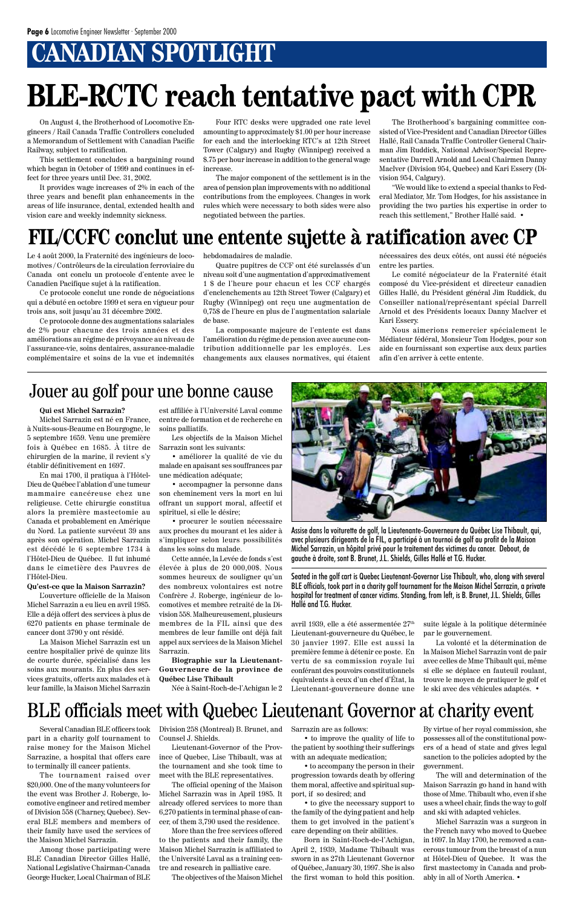# **CANADIAN SPOTLIGHT**

On August 4, the Brotherhood of Locomotive Engineers / Rail Canada Traffic Controllers concluded a Memorandum of Settlement with Canadian Pacific Railway, subject to ratification.

This settlement concludes a bargaining round which began in October of 1999 and continues in effect for three years until Dec. 31, 2002.

It provides wage increases of 2% in each of the three years and benefit plan enhancements in the areas of life insurance, dental, extended health and vision care and weekly indemnity sickness.

Four RTC desks were upgraded one rate level amounting to approximately \$1.00 per hour increase for each and the interlocking RTC's at 12th Street Tower (Calgary) and Rugby (Winnipeg) received a \$.75 per hour increase in addition to the general wage increase.

The major component of the settlement is in the area of pension plan improvements with no additional contributions from the employees. Changes in work rules which were necessary to both sides were also negotiated between the parties.

The Brotherhood's bargaining committee consisted of Vice-President and Canadian Director Gilles Hallé, Rail Canada Traffic Controller General Chairman Jim Ruddick, National Advisor/Special Representative Darrell Arnold and Local Chairmen Danny MacIver (Division 954, Quebec) and Kari Essery (Division 954, Calgary).

"We would like to extend a special thanks to Federal Mediator, Mr. Tom Hodges, for his assistance in providing the two parties his expertise in order to reach this settlement," Brother Hallé said. •

# **BLE-RCTC reach tentative pact with CPR**

Le 4 août 2000, la Fraternité des ingénieurs de locomotives / Contrôleurs de la circulation ferroviaire du Canada ont conclu un protocole d'entente avec le Canadien Pacifique sujet à la ratification.

Ce protocole conclut une ronde de négociations qui a débuté en octobre 1999 et sera en vigueur pour trois ans, soit jusqu'au 31 décembre 2002.

Ce protocole donne des augmentations salariales de 2% pour chacune des trois années et des améliorations au régime de prévoyance au niveau de l'assurance-vie, soins dentaires, assurance-maladie complémentaire et soins de la vue et indemnités

hebdomadaires de maladie.

Quatre pupitres de CCF ont été surclassés d'un niveau soit d'une augmentation d'approximativement 1 \$ de l'heure pour chacun et les CCF chargés d'enclenchements au 12th Street Tower (Calgary) et Rugby (Winnipeg) ont reçu une augmentation de 0,75\$ de l'heure en plus de l'augmentation salariale de base.

La composante majeure de l'entente est dans l'amélioration du régime de pension avec aucune contribution additionnelle par les employés. Les changements aux clauses normatives, qui étaient

nécessaires des deux côtés, ont aussi été négociés entre les parties.

Le comité négociateur de la Fraternité était composé du Vice-président et directeur canadien Gilles Hallé, du Président général Jim Ruddick, du Conseiller national/représentant spécial Darrell Arnold et des Présidents locaux Danny MacIver et Kari Essery.

Nous aimerions remercier spécialement le Médiateur fédéral, Monsieur Tom Hodges, pour son aide en fournissant son expertise aux deux parties afin d'en arriver à cette entente.

## **FIL/CCFC conclut une entente sujette à ratification avec CP**

Several Canadian BLE officers took part in a charity golf tournament to raise money for the Maison Michel Sarrazine, a hospital that offers care to terminally ill cancer patients.

The tournament raised over \$20,000. One of the many volunteers for the event was Brother J. Roberge, locomotive engineer and retired member of Division 558 (Charney, Quebec). Several BLE members and members of their family have used the services of the Maison Michel Sarrazin.

Among those participating were BLE Canadian Director Gilles Hallé, National Legislative Chairman-Canada George Hucker, Local Chairman of BLE



Assise dans la voiturette de golf, la Lieutenante-Gouverneure du Québec Lise Thibault, qui, avec plusieurs dirigeants de la FIL, a participé à un tournoi de golf au profit de la Maison Michel Sarrazin, un hôpital privé pour le traitement des victimes du cancer. Debout, de gauche à droite, sont B. Brunet, J.L. Shields, Gilles Hallé et T.G. Hucker.

Seated in the golf cart is Quebec Lieutenant-Governor Lise Thibault, who, along with several BLE officials, took part in a charity golf tournament for the Maison Michel Sarrazin, a private hospital for treatment of cancer victims. Standing, from left, is B. Brunet, J.L. Shields, Gilles Hallé and T.G. Hucker.

### BLE officials meet with Quebec Lieutenant Governor at charity event

### Jouer au golf pour une bonne cause

#### **Qui est Michel Sarrazin?**

Michel Sarrazin est né en France, à Nuits-sous-Beaume en Bourgogne, le 5 septembre 1659. Venu une première fois à Québec en 1685. À titre de chirurgien de la marine, il revient s'y établir définitivement en 1697.

En mai 1700, il pratiqua à l'Hôtel-Dieu de Québec l'ablation d'une tumeur mammaire cancéreuse chez une religieuse. Cette chirurgie constitua alors la première mastectomie au Canada et probablement en Amérique du Nord. La patiente survécut 39 ans après son opération. Michel Sarrazin est décédé le 6 septembre 1734 à l'Hôtel-Dieu de Québec. Il fut inhumé dans le cimetière des Pauvres de l'Hôtel-Dieu.

#### **Qu'est-ce que la Maison Sarrazin?**

L'ouverture officielle de la Maison Michel Sarrazin a eu lieu en avril 1985. Elle a déjà offert des services à plus de 6270 patients en phase terminale de cancer dont 3790 y ont résidé.

La Maison Michel Sarrazin est un centre hospitalier privé de quinze lits de courte durée, spécialisé dans les

soins aux mourants. En plus des services gratuits, offerts aux malades et à leur famille, la Maison Michel Sarrazin est affiliée à l'Université Laval comme centre de formation et de recherche en soins palliatifs.

Les objectifs de la Maison Michel Sarrazin sont les suivants:

• améliorer la qualité de vie du malade en apaisant ses souffrances par une médication adéquate;

• accompagner la personne dans son cheminement vers la mort en lui offrant un support moral, affectif et spirituel, si elle le désire;

• procurer le soutien nécessaire aux proches du mourant et les aider à s'impliquer selon leurs possibilités dans les soins du malade.

Cette année, la Levée de fonds s'est élevée à plus de 20 000,00\$. Nous sommes heureux de souligner qu'un des nombreux volontaires est notre Confrère J. Roberge, ingénieur de locomotives et membre retraité de la Division 558. Malheureusement, plusieurs membres de la FIL ainsi que des membres de leur famille ont déjà fait appel aux services de la Maison Michel Sarrazin.

**Biographie sur la Lieutenant-**

**Gouverneure de la province de Québec Lise Thibault**

Née à Saint-Roch-de-l'Achigan le 2

avril 1939, elle a été assermentée 27th Lieutenant-gouverneure du Québec, le 30 janvier 1997. Elle est aussi la première femme à détenir ce poste. En vertu de sa commission royale lui

suite légale à la politique déterminée par le gouvernement.

conférant des pouvoirs constitutionnels équivalents à ceux d'un chef d'État, la Lieutenant-gouverneure donne une le ski avec des véhicules adaptés. •

La volonté et la détermination de la Maison Michel Sarrazin vont de pair avec celles de Mme Thibault qui, même

si elle se déplace en fauteuil roulant, trouve le moyen de pratiquer le golf et

Division 258 (Montreal) B. Brunet, and Counsel J. Shields.

Lieutenant-Governor of the Province of Quebec, Lise Thibault, was at the tournament and she took time to meet with the BLE representatives.

The official opening of the Maison Michel Sarrazin was in April 1985. It already offered services to more than 6,270 patients in terminal phase of cancer, of them 3,790 used the residence.

More than the free services offered to the patients and their family, the Maison Michel Sarrazin is affiliated to the Université Laval as a training centre and research in palliative care.

The objectives of the Maison Michel

Sarrazin are as follows:

• to improve the quality of life to the patient by soothing their sufferings with an adequate medication;

• to accompany the person in their progression towards death by offering them moral, affective and spiritual support, if so desired; and

• to give the necessary support to the family of the dying patient and help them to get involved in the patient's care depending on their abilities.

Born in Saint-Roch-de-l'Achigan, April 2, 1939, Madame Thibault was sworn in as 27th Lieutenant Governor of Québec, January 30, 1997. She is also the first woman to hold this position.

By virtue of her royal commission, she possesses all of the constitutional powers of a head of state and gives legal sanction to the policies adopted by the government.

The will and determination of the Maison Sarrazin go hand in hand with those of Mme. Thibault who, even if she uses a wheel chair, finds the way to golf and ski with adapted vehicles.

Michel Sarrazin was a surgeon in the French navy who moved to Quebec in 1697. In May 1700, he removed a cancerous tumour from the breast of a nun at Hôtel-Dieu of Quebec. It was the first mastectomy in Canada and probably in all of North America. •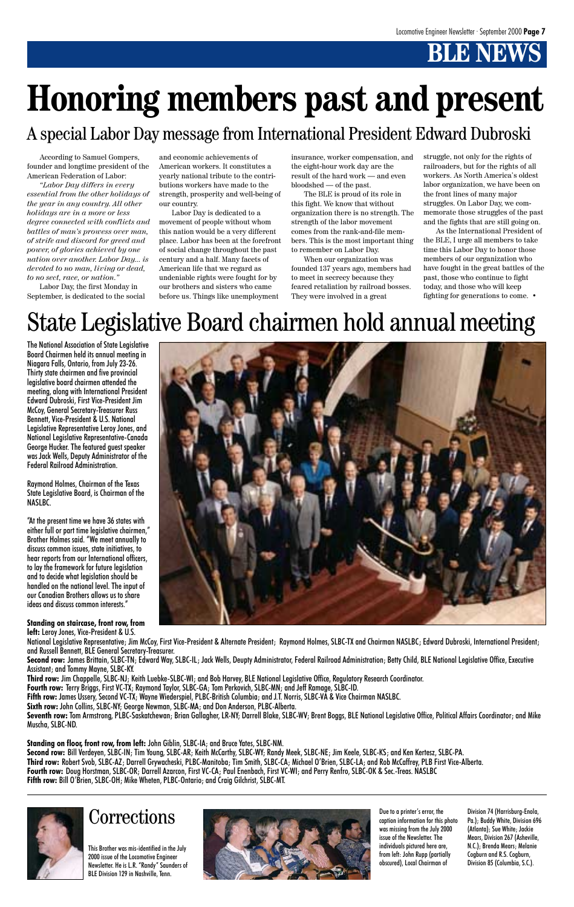# **BLE NEWS**

According to Samuel Gompers, founder and longtime president of the American Federation of Labor:

*"Labor Day differs in every essential from the other holidays of the year in any country. All other holidays are in a more or less degree connected with conflicts and battles of man's prowess over man, of strife and discord for greed and power, of glories achieved by one nation over another. Labor Day... is devoted to no man, living or dead, to no sect, race, or nation."*

Labor Day, the first Monday in September, is dedicated to the social

and economic achievements of American workers. It constitutes a yearly national tribute to the contributions workers have made to the strength, prosperity and well-being of our country.

Labor Day is dedicated to a movement of people without whom this nation would be a very different place. Labor has been at the forefront of social change throughout the past century and a half. Many facets of American life that we regard as undeniable rights were fought for by our brothers and sisters who came before us. Things like unemployment

insurance, worker compensation, and the eight-hour work day are the result of the hard work — and even bloodshed — of the past.

The BLE is proud of its role in this fight. We know that without organization there is no strength. The strength of the labor movement comes from the rank-and-file members. This is the most important thing to remember on Labor Day.

When our organization was founded 137 years ago, members had to meet in secrecy because they feared retaliation by railroad bosses. They were involved in a great

The National Association of State Legislative Board Chairmen held its annual meeting in Niagara Falls, Ontario, from July 23-26. Thirty state chairmen and five provincial legislative board chairmen attended the meeting, along with International President Edward Dubroski, First Vice-President Jim McCoy, General Secretary-Treasurer Russ Bennett, Vice-President & U.S. National Legislative Representative Leroy Jones, and National Legislative Representative-Canada George Hucker. The featured guest speaker was Jack Wells, Deputy Administrator of the Federal Railroad Administration.

National Legislative Representative; Jim McCoy, First Vice-President & Alternate President; Raymond Holmes, SLBC-TX and Chairman NASLBC; Edward Dubroski, International President; and Russell Bennett, BLE General Secretary-Treasurer. Second row: James Brittain, SLBC-TN; Edward Way, SLBC-IL; Jack Wells, Deupty Administrator, Federal Railroad Administration; Betty Child, BLE National Legislative Office, Executive Assistant; and Tommy Mayne, SLBC-KY. **Third row:** Jim Chappelle, SLBC-NJ; Keith Luebke-SLBC-WI; and Bob Harvey, BLE National Legislative Office, Regulatory Research Coordinator. **Fourth row:** Terry Briggs, First VC-TX; Raymond Taylor, SLBC-GA; Tom Perkovich, SLBC-MN; and Jeff Ramage, SLBC-ID. **Fifth row:** James Ussery, Second VC-TX; Wayne Wiederspiel, PLBC-British Columbia; and J.T. Norris, SLBC-VA & Vice Chairman NASLBC. **Sixth row:** John Collins, SLBC-NY; George Newman, SLBC-MA; and Don Anderson, PLBC-Alberta. **Seventh row:** Tom Armstrong, PLBC-Saskatchewan; Brian Gallagher, LR-NY; Darrell Blake, SLBC-WV; Brent Boggs, BLE National Legislative Office, Political Affairs Coordinator; and Mike Muscha, SLBC-ND.

Raymond Holmes, Chairman of the Texas State Legislative Board, is Chairman of the NASLBC.

"At the present time we have 36 states with either full or part time legislative chairmen," Brother Holmes said. "We meet annually to discuss common issues, state initiatives, to hear reports from our International officers, to lay the framework for future legislation and to decide what legislation should be handled on the national level. The input of our Canadian Brothers allows us to share ideas and discuss common interests."

**Standing on staircase, front row, from left:** Leroy Jones, Vice-President & U.S.



**Standing on floor, front row, from left:** John Giblin, SLBC-IA; and Bruce Yates, SLBC-NM.

**Second row:** Bill Verdeyen, SLBC-IN; Tim Young, SLBC-AR; Keith McCarthy, SLBC-WY; Randy Meek, SLBC-NE; Jim Keele, SLBC-KS; and Ken Kertesz, SLBC-PA. **Third row:** Robert Svob, SLBC-AZ; Darrell Grywacheski, PLBC-Manitoba; Tim Smith, SLBC-CA; Michael O'Brien, SLBC-LA; and Rob McCaffrey, PLB First Vice-Alberta. **Fourth row:** Doug Horstman, SLBC-OR; Darrell Azarcon, First VC-CA; Paul Enenbach, First VC-WI; and Perry Renfro, SLBC-OK & Sec.-Treas. NASLBC **Fifth row:** Bill O'Brien, SLBC-OH; Mike Wheten, PLBC-Ontario; and Craig Gilchrist, SLBC-MT.



### **Corrections**

# State Legislative Board chairmen hold annual meeting

# **Honoring members past and present**

A special Labor Day message from International President Edward Dubroski

struggle, not only for the rights of railroaders, but for the rights of all workers. As North America's oldest labor organization, we have been on the front lines of many major struggles. On Labor Day, we commemorate those struggles of the past and the fights that are still going on.

As the International President of the BLE, I urge all members to take time this Labor Day to honor those members of our organization who have fought in the great battles of the past, those who continue to fight today, and those who will keep fighting for generations to come. •

Due to a printer's error, the caption information for this photo was missing from the July 2000 issue of the Newsletter. The individuals pictured here are, from left: John Rupp (partially obscured), Local Chairman of

Division 74 (Harrisburg-Enola, Pa.); Buddy White, Division 696 (Atlanta); Sue White; Jackie Mears, Division 267 (Asheville, N.C.); Brenda Mears; Melanie Cogburn and R.S. Cogburn, Division 85 (Columbia, S.C.).

This Brother was mis-identified in the July 2000 issue of the Locomotive Engineer Newsletter. He is L.R. "Randy" Saunders of BLE Division 129 in Nashville, Tenn.